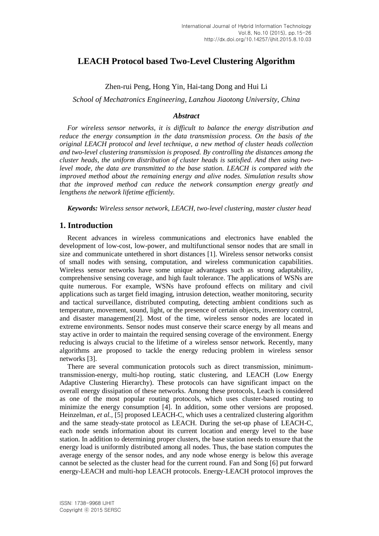# **LEACH Protocol based Two-Level Clustering Algorithm**

Zhen-rui Peng, Hong Yin, Hai-tang Dong and Hui Li

*School of Mechatronics Engineering, Lanzhou Jiaotong University, China*

## *Abstract*

*For wireless sensor networks, it is difficult to balance the energy distribution and reduce the energy consumption in the data transmission process. On the basis of the original LEACH protocol and level technique, a new method of cluster heads collection and two-level clustering transmission is proposed. By controlling the distances among the cluster heads, the uniform distribution of cluster heads is satisfied. And then using twolevel mode, the data are transmitted to the base station. LEACH is compared with the improved method about the remaining energy and alive nodes. Simulation results show that the improved method can reduce the network consumption energy greatly and lengthens the network lifetime efficiently.*

*Keywords: Wireless sensor network, LEACH, two-level clustering, master cluster head*

## **1. Introduction**

Recent advances in wireless communications and electronics have enabled the development of low-cost, low-power, and multifunctional sensor nodes that are small in size and communicate untethered in short distances [1]. Wireless sensor networks consist of small nodes with sensing, computation, and wireless communication capabilities. Wireless sensor networks have some unique advantages such as strong adaptability, comprehensive sensing coverage, and high fault tolerance. The applications of WSNs are quite numerous. For example, WSNs have profound effects on military and civil applications such as target field imaging, intrusion detection, weather monitoring, security and tactical surveillance, distributed computing, detecting ambient conditions such as temperature, movement, sound, light, or the presence of certain objects, inventory control, and disaster management[2]. Most of the time, wireless sensor nodes are located in extreme environments. Sensor nodes must conserve their scarce energy by all means and stay active in order to maintain the required sensing coverage of the environment. Energy reducing is always crucial to the lifetime of a wireless sensor network. Recently, many algorithms are proposed to tackle the energy reducing problem in wireless sensor networks [3].

There are several communication protocols such as direct transmission, minimumtransmission-energy, multi-hop routing, static clustering, and LEACH (Low Energy Adaptive Clustering Hierarchy). These protocols can have significant impact on the overall energy dissipation of these networks. Among these protocols, Leach is considered as one of the most popular routing protocols, which uses cluster-based routing to minimize the energy consumption [4]. In addition, some other versions are proposed. Heinzelman, *et al.*, [5] proposed LEACH-C, which uses a centralized clustering algorithm and the same steady-state protocol as LEACH. During the set-up phase of LEACH-C, each node sends information about its current location and energy level to the base station. In addition to determining proper clusters, the base station needs to ensure that the energy load is uniformly distributed among all nodes. Thus, the base station computes the average energy of the sensor nodes, and any node whose energy is below this average cannot be selected as the cluster head for the current round. Fan and Song [6] put forward energy-LEACH and multi-hop LEACH protocols. Energy-LEACH protocol improves the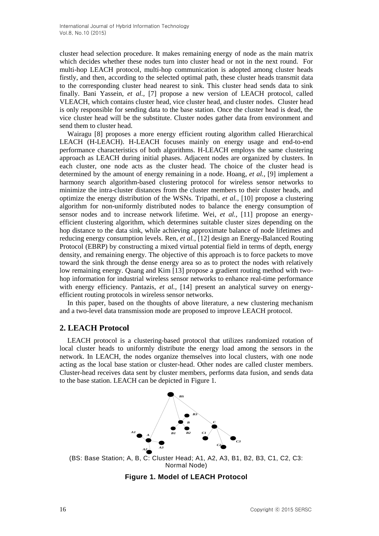cluster head selection procedure. It makes remaining energy of node as the main matrix which decides whether these nodes turn into cluster head or not in the next round. For multi-hop LEACH protocol, multi-hop communication is adopted among cluster heads firstly, and then, according to the selected optimal path, these cluster heads transmit data to the corresponding cluster head nearest to sink. This cluster head sends data to sink finally. Bani Yassein, *et al.,* [7] propose a new version of LEACH protocol, called VLEACH, which contains cluster head, vice cluster head, and cluster nodes. Cluster head is only responsible for sending data to the base station. Once the cluster head is dead, the vice cluster head will be the substitute. Cluster nodes gather data from environment and send them to cluster head.

Wairagu [8] proposes a more energy efficient routing algorithm called Hierarchical LEACH (H-LEACH). H-LEACH focuses mainly on energy usage and end-to-end performance characteristics of both algorithms. H-LEACH employs the same clustering approach as LEACH during initial phases. Adjacent nodes are organized by clusters. In each cluster, one node acts as the cluster head. The choice of the cluster head is determined by the amount of energy remaining in a node. Hoang, *et al.,* [9] implement a harmony search algorithm-based clustering protocol for wireless sensor networks to minimize the intra-cluster distances from the cluster members to their cluster heads, and optimize the energy distribution of the WSNs. Tripathi, *et al.,* [10] propose a clustering algorithm for non-uniformly distributed nodes to balance the energy consumption of sensor nodes and to increase network lifetime. Wei, *et al.,* [11] propose an energyefficient clustering algorithm, which determines suitable cluster sizes depending on the hop distance to the data sink, while achieving approximate balance of node lifetimes and reducing energy consumption levels. Ren, *et al.,* [12] design an Energy-Balanced Routing Protocol (EBRP) by constructing a mixed virtual potential field in terms of depth, energy density, and remaining energy. The objective of this approach is to force packets to move toward the sink through the dense energy area so as to protect the nodes with relatively low remaining energy. Quang and Kim [13] propose a gradient routing method with twohop information for industrial wireless sensor networks to enhance real-time performance with energy efficiency. Pantazis, *et al.*, [14] present an analytical survey on energyefficient routing protocols in wireless sensor networks.

In this paper, based on the thoughts of above literature, a new clustering mechanism and a two-level data transmission mode are proposed to improve LEACH protocol.

## **2. LEACH Protocol**

LEACH protocol is a clustering-based protocol that utilizes randomized rotation of local cluster heads to uniformly distribute the energy load among the sensors in the network. In LEACH, the nodes organize themselves into local clusters, with one node acting as the local base station or cluster-head. Other nodes are called cluster members. Cluster-head receives data sent by cluster members, performs data fusion, and sends data to the base station. LEACH can be depicted in Figure 1.



(BS: Base Station; A, B, C: Cluster Head; A1, A2, A3, B1, B2, B3, C1, C2, C3: Normal Node)

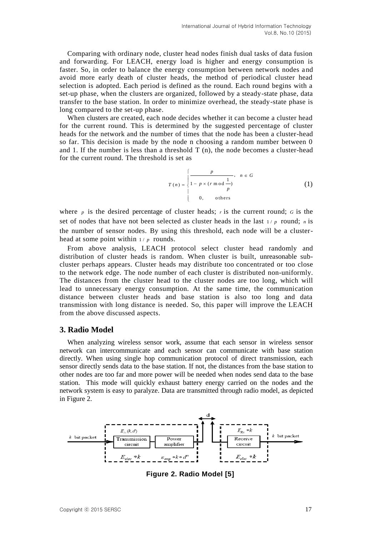Comparing with ordinary node, cluster head nodes finish dual tasks of data fusion and forwarding. For LEACH, energy load is higher and energy consumption is faster. So, in order to balance the energy consumption between network nodes and avoid more early death of cluster heads, the method of periodical cluster head selection is adopted. Each period is defined as the round. Each round begins with a set-up phase, when the clusters are organized, followed by a steady-state phase, data transfer to the base station. In order to minimize overhead, the steady-state phase is long compared to the set-up phase.

When clusters are created, each node decides whether it can become a cluster head for the current round. This is determined by the suggested percentage of cluster heads for the network and the number of times that the node has been a cluster-head so far. This decision is made by the node n choosing a random number between 0 and 1. If the number is less than a threshold  $T(n)$ , the node becomes a cluster-head for the current round. The threshold is set as

$$
T(n) = \begin{cases} \frac{p}{1 - p \times (r \mod \frac{1}{p})}, & n \in G \\ 0, & \text{others} \end{cases}
$$
 (1)

where  $p$  is the desired percentage of cluster heads;  $r$  is the current round;  $G$  is the set of nodes that have not been selected as cluster heads in the last  $1/p$  round; *n* is the number of sensor nodes. By using this threshold, each node will be a clusterhead at some point within  $1/p$  rounds.

From above analysis, LEACH protocol select cluster head randomly and distribution of cluster heads is random. When cluster is built, unreasonable subcluster perhaps appears. Cluster heads may distribute too concentrated or too close to the network edge. The node number of each cluster is distributed non-uniformly. The distances from the cluster head to the cluster nodes are too long, which will lead to unnecessary energy consumption. At the same time, the communication distance between cluster heads and base station is also too long and data transmission with long distance is needed. So, this paper will improve the LEACH from the above discussed aspects.

## **3. Radio Model**

When analyzing wireless sensor work, assume that each sensor in wireless sensor network can intercommunicate and each sensor can communicate with base station directly. When using single hop communication protocol of direct transmission, each sensor directly sends data to the base station. If not, the distances from the base station to other nodes are too far and more power will be needed when nodes send data to the base station. This mode will quickly exhaust battery energy carried on the nodes and the network system is easy to paralyze. Data are transmitted through radio model, as depicted in Figure 2.



**Figure 2. Radio Model [5]**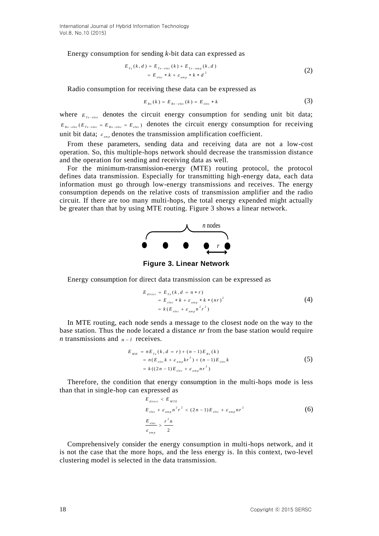Energy consumption for sending *k-*bit data can expressed as

$$
E_{T_{x}}(k, d) = E_{T_{x-\text{elec}}}(k) + E_{T_{x-\text{amp}}}(k, d)
$$
  
= 
$$
E_{\text{elec}} * k + \varepsilon_{\text{amp}} * k * d^{2}
$$
 (2)

Radio consumption for receiving these data can be expressed as

$$
E_{Rx}(k) = E_{Rx - elec}(k) = E_{elec} * k
$$
\n(3)

where  $E_{\tau_x,\text{e}$  denotes the circuit energy consumption for sending unit bit data;  $E_{Rx = elec}$  ( $E_{Tx = elec} = E_{Rx = elec} = E_{elec}$ ) denotes the circuit energy consumption for receiving unit bit data;  $\varepsilon_{\text{amp}}$  denotes the transmission amplification coefficient.

From these parameters, sending data and receiving data are not a low-cost operation. So, this multiple-hops network should decrease the transmission distance and the operation for sending and receiving data as well.

For the minimum-transmission-energy (MTE) routing protocol, the protocol defines data transmission. Especially for transmitting high-energy data, each data information must go through low-energy transmissions and receives. The energy consumption depends on the relative costs of transmission amplifier and the radio circuit. If there are too many multi-hops, the total energy expended might actually be greater than that by using MTE routing. Figure 3 shows a linear network.



**Figure 3. Linear Network**

Energy consumption for direct data transmission can be expressed as

$$
E_{direct} = E_{Tx} (k, d = n * r)
$$
  
= 
$$
E_{elec} * k + \varepsilon_{amp} * k * (nr)^{2}
$$
  
= 
$$
k (E_{elec} + \varepsilon_{amp} n^{2} r^{2})
$$
 (4)

In MTE routing, each node sends a message to the closest node on the way to the base station. Thus the node located a distance *nr* from the base station would require *n* transmissions and  $n - l$  receives.

$$
E_{MH} = nE_{Tx}(k, d = r) + (n - 1)E_{Rx}(k)
$$
  
=  $n(E_{elec}k + \varepsilon_{amp}kr^{2}) + (n - 1)E_{elec}k$   
=  $k((2n - 1)E_{elec} + \varepsilon_{amp}nr^{2})$  (5)

Therefore, the condition that energy consumption in the multi-hops mode is less than that in single-hop can expressed as

$$
E_{\text{direct}} < E_{\text{MTE}}
$$
\n
$$
E_{\text{elec}} + \varepsilon_{\text{amp}} n^2 r^2 < (2n - 1) E_{\text{elec}} + \varepsilon_{\text{amp}} n r^2
$$
\n
$$
\frac{E_{\text{elec}}}{\varepsilon_{\text{amp}}} > \frac{r^2 n}{2}
$$
\n
$$
(6)
$$

Comprehensively consider the energy consumption in multi-hops network, and it is not the case that the more hops, and the less energy is. In this context, two-level clustering model is selected in the data transmission.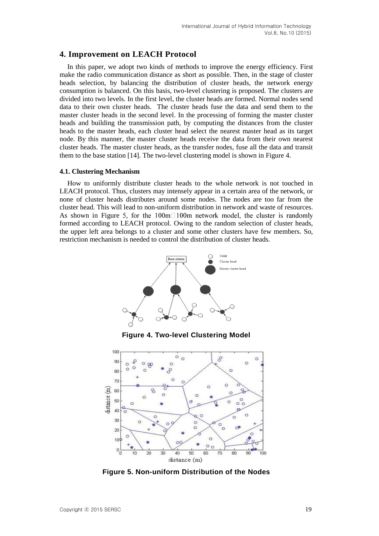## **4. Improvement on LEACH Protocol**

In this paper, we adopt two kinds of methods to improve the energy efficiency. First make the radio communication distance as short as possible. Then, in the stage of cluster heads selection, by balancing the distribution of cluster heads, the network energy consumption is balanced. On this basis, two-level clustering is proposed. The clusters are divided into two levels. In the first level, the cluster heads are formed. Normal nodes send data to their own cluster heads. The cluster heads fuse the data and send them to the master cluster heads in the second level. In the processing of forming the master cluster heads and building the transmission path, by computing the distances from the cluster heads to the master heads, each cluster head select the nearest master head as its target node. By this manner, the master cluster heads receive the data from their own nearest cluster heads. The master cluster heads, as the transfer nodes, fuse all the data and transit them to the base station [14]. The two-level clustering model is shown in Figure 4.

#### **4.1. Clustering Mechanism**

How to uniformly distribute cluster heads to the whole network is not touched in LEACH protocol. Thus, clusters may intensely appear in a certain area of the network, or none of cluster heads distributes around some nodes. The nodes are too far from the cluster head. This will lead to non-uniform distribution in network and waste of resources. As shown in Figure 5, for the 100m $\Box$ 100m network model, the cluster is randomly formed according to LEACH protocol. Owing to the random selection of cluster heads, the upper left area belongs to a cluster and some other clusters have few members. So, restriction mechanism is needed to control the distribution of cluster heads.



**Figure 5. Non-uniform Distribution of the Nodes**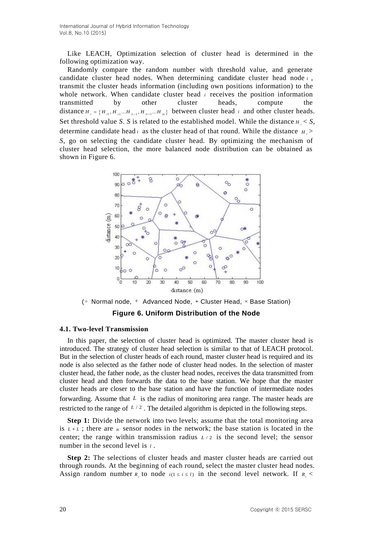Like LEACH, Optimization selection of cluster head is determined in the following optimization way.

Randomly compare the random number with threshold value, and generate candidate cluster head nodes. When determining candidate cluster head node *<sup>i</sup>* , transmit the cluster heads information (including own positions information) to the whole network. When candidate cluster head *i* receives the position information transmitted by other cluster heads, compute the distance  $H_i = \{H_{ii}, H_{ii}, \dots, H_{ii+1}, \dots, H_{in}\}\$  between cluster head *i* and other cluster heads. Set threshold value *S*. *S* is related to the established model. While the distance  $H_i < S$ , determine candidate head *i* as the cluster head of that round. While the distance  $H_i$ *S*, go on selecting the candidate cluster head. By optimizing the mechanism of cluster head selection, the more balanced node distribution can be obtained as shown in Figure 6.



( Normal node, Advanced Node, Cluster Head, Base Station) **Figure 6. Uniform Distribution of the Node**

#### **4.1. Two-level Transmission**

In this paper, the selection of cluster head is optimized. The master cluster head is introduced. The strategy of cluster head selection is similar to that of LEACH protocol. But in the selection of cluster heads of each round, master cluster head is required and its node is also selected as the father node of cluster head nodes. In the selection of master cluster head, the father node, as the cluster head nodes, receives the data transmitted from cluster head and then forwards the data to the base station. We hope that the master cluster heads are closer to the base station and have the function of intermediate nodes forwarding. Assume that L is the radius of monitoring area range. The master heads are restricted to the range of  $L/2$ . The detailed algorithm is depicted in the following steps.

**Step 1:** Divide the network into two levels; assume that the total monitoring area is  $L * L$ ; there are *n* sensor nodes in the network; the base station is located in the center; the range within transmission radius  $L/2$  is the second level; the sensor number in the second level is *l* .

**Step 2:** The selections of cluster heads and master cluster heads are carried out through rounds. At the beginning of each round, select the master cluster head nodes. Assign random number  $R_i$  to node  $i(1 \le i \le l)$  in the second level network. If  $R_i$  <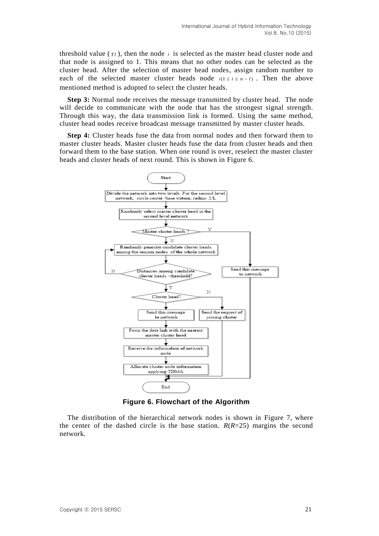threshold value  $(\tau_l)$ , then the node  $i$  is selected as the master head cluster node and that node is assigned to 1. This means that no other nodes can be selected as the cluster head. After the selection of master head nodes, assign random number to each of the selected master cluster heads node  $i(1 \le i \le n-l)$ . Then the above mentioned method is adopted to select the cluster heads.

**Step 3:** Normal node receives the message transmitted by cluster head. The node will decide to communicate with the node that has the strongest signal strength. Through this way, the data transmission link is formed. Using the same method, cluster head nodes receive broadcast message transmitted by master cluster heads.

**Step 4:** Cluster heads fuse the data from normal nodes and then forward them to master cluster heads. Master cluster heads fuse the data from cluster heads and then forward them to the base station. When one round is over, reselect the master cluster heads and cluster heads of next round. This is shown in Figure 6.



**Figure 6. Flowchart of the Algorithm**

The distribution of the hierarchical network nodes is shown in Figure 7, where the center of the dashed circle is the base station.  $R(R=25)$  margins the second network.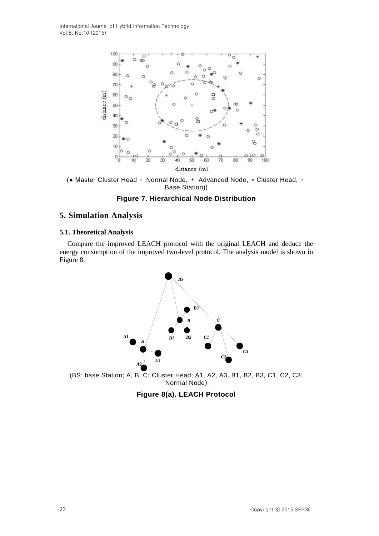

(• Master Cluster Head ∘ Normal Node, + Advanced Node, \* Cluster Head, × Base Station))

## **Figure 7. Hierarchical Node Distribution**

## **5. Simulation Analysis**

#### **5.1. Theoretical Analysis**

Compare the improved LEACH protocol with the original LEACH and deduce the energy consumption of the improved two-level protocol. The analysis model is shown in Figure 8.



(BS: base Station; A, B, C: Cluster Head; A1, A2, A3, B1, B2, B3, C1, C2, C3: Normal Node)

**Figure 8(a). LEACH Protocol**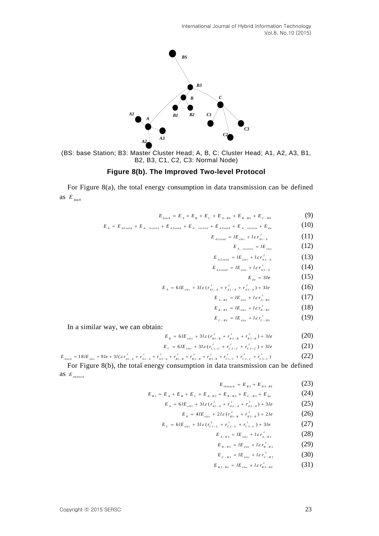

(BS: base Station; B3: Master Cluster Head; A, B, C: Cluster Head; A1, A2, A3, B1, B2, B3, C1, C2, C3: Normal Node)

## **Figure 8(b). The Improved Two-level Protocol**

For Figure 8(a), the total energy consumption in data transmission can be defined as *leach E*

 $E_{leach} = E_A + E_B + E_C + E_{A-BS} + E_{B-BS} + E_{C-BS}$  (9)

$$
E_{\text{leach}} = E_A + E_B + E_C + E_{A-BS} + E_{B-BS} + E_{C-BS}
$$
(9)  

$$
E_A = E_{\text{Alsend}} + E_{A_{\text{reccive}}} + E_{\text{A2} \text{send}} + E_{A_{\text{reccive}}} + E_{\text{A3} \text{send}} + E_{A_{\text{reccive}}} + E_{\text{da}}
$$
(10)

$$
E_{A1\, send} = lE_{elec} + l\,\varepsilon\,r_{A1-A}^{\lambda} \tag{11}
$$

$$
E_{A_{\text{}}\text{receive}} = lE_{\text{elec}} \tag{12}
$$

$$
E_{A2\,send} = lE_{elec} + l\varepsilon r_{A2-A}^{\lambda} \tag{13}
$$

$$
E_{A3\,send} = lE_{elec} + l\varepsilon r_{A3-A}^{\lambda} \tag{14}
$$
\n
$$
F = 3l_{e} \tag{15}
$$

$$
E_{da} = 3le \qquad (15)
$$

$$
E_A = 6IE_{elec} + 3I\varepsilon (r_{A1-A}^{\lambda} + r_{A2-A}^{\lambda} + r_{A3-A}^{\lambda}) + 3Ie
$$
 (16)

$$
E_{A-BS} = lE_{elec} + l\varepsilon r_{A-BS}^{\lambda} \tag{17}
$$

$$
E_{B-BS} = lE_{elec} + l\varepsilon r_{B-BS}^{\lambda} \tag{18}
$$

$$
E_{c-BS} = lE_{elec} + l\varepsilon r_{c-BS}^{\lambda} \tag{19}
$$

In a similar way, we can obtain:

$$
E_{B} = 6IE_{elec} + 3I\varepsilon (r_{B1-B}^{\lambda} + r_{B2-B}^{\lambda} + r_{B3-B}^{\lambda}) + 3Ie
$$
 (20)

$$
E_C = 6IE_{elec} + 3I\varepsilon (r_{c1-C}^2 + r_{c2-C}^2 + r_{c3-C}^2) + 3Ie
$$
 (21)

$$
E_{c} = 6IE_{elec} + 3I\varepsilon (r_{c1-c}^{A} + r_{c2-c}^{A} + r_{c3-c}^{A}) + 3I\varepsilon
$$
\n
$$
E_{leach} = 18IE_{elec} + 9I\varepsilon + 3I(\varepsilon r_{A1-A}^{A} + r_{A2-A}^{A} + r_{A3-A}^{A} + r_{B1-B}^{A} + r_{B2-B}^{A} + r_{B3-B}^{A} + r_{c1-c}^{A} + r_{c2-C}^{A} + r_{c3-C}^{A})
$$
\n(22)

For Figure 8(b), the total energy consumption in data transmission can be defined as *im lea ch E*

$$
E_{\text{inleach}} = E_{\text{B3}} + E_{\text{B3}-\text{B5}} \tag{23}
$$

$$
E_{\substack{m \neq a \neq b}} = E_{\substack{B3}} + E_{\substack{B3 - B5}} \tag{23}
$$
\n
$$
E_{\substack{B3}} = E_A + E_B + E_C + E_{A - B3} + E_{B - B3} + E_{C - B3} + E_{da} \tag{24}
$$

$$
E_A = 6IE_{elec} + 3I\varepsilon (r_{A1-A}^A + r_{A2-A}^A + r_{A3-A}^A) + 3Ie
$$
 (25)

$$
E_{B} = 4lE_{elec} + 2l\varepsilon (r_{B1-B}^{\lambda} + r_{B2-B}^{\lambda}) + 2le
$$
 (26)

$$
E_{c} = 6IE_{elec} + 3I\varepsilon (r_{c1-c}^{\lambda} + r_{c2-c}^{\lambda} + r_{c3-c}^{\lambda}) + 3Ie
$$
 (27)

$$
E_{A-B3} = lE_{elec} + l\varepsilon r_{A-B3}^{\lambda} \tag{28}
$$

$$
E_{B-B3} = lE_{elec} + l\varepsilon r_{B-B3}^{\lambda} \tag{29}
$$

$$
E_{c - B3} = lE_{elec} + l\varepsilon r_{c - B3}^{\lambda}
$$
 (30)

$$
E_{B3-BS} = lE_{elec} + l\varepsilon r_{B3-BS}^{\lambda} \tag{31}
$$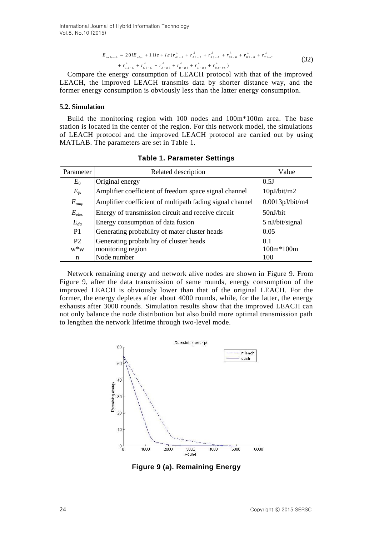$$
E_{\text{infeach}} = 20lE_{\text{elec}} + 11l\mathbf{e} + l\varepsilon (r_{A1-A}^{\lambda} + r_{A2-A}^{\lambda} + r_{A3-A}^{\lambda} + r_{B1-B}^{\lambda} + r_{B2-B}^{\lambda} + r_{C1-C}^{\lambda} + r_{C2-C}^{\lambda} + r_{C2-C}^{\lambda} + r_{C3-C}^{\lambda} + r_{A-B3}^{\lambda} + r_{B-B3}^{\lambda} + r_{C-B3}^{\lambda} + r_{B3-BS}^{\lambda})
$$
\n
$$
(32)
$$

Compare the energy consumption of LEACH protocol with that of the improved LEACH, the improved LEACH transmits data by shorter distance way, and the former energy consumption is obviously less than the latter energy consumption.

#### **5.2. Simulation**

Build the monitoring region with 100 nodes and 100m\*100m area. The base station is located in the center of the region. For this network model, the simulations of LEACH protocol and the improved LEACH protocol are carried out by using MATLAB. The parameters are set in Table 1.

| Parameter      | Related description                                      | Value           |
|----------------|----------------------------------------------------------|-----------------|
| $E_0$          | Original energy                                          | 0.5J            |
| $E_{fs}$       | Amplifier coefficient of freedom space signal channel    | 10pJ/bit/m2     |
| $E_{amp}$      | Amplifier coefficient of multipath fading signal channel | 0.0013pJ/bit/m4 |
| $E_{elec}$     | Energy of transmission circuit and receive circuit       | 50nJ/bit        |
| $E_{da}$       | Energy consumption of data fusion                        | 5 nJ/bit/signal |
| P <sub>1</sub> | Generating probability of mater cluster heads            | 0.05            |
| P <sub>2</sub> | Generating probability of cluster heads                  | 0.1             |
| $W^*W$         | monitoring region                                        | 100m*100m       |
| n              | Node number                                              | 100             |

**Table 1. Parameter Settings**

Network remaining energy and network alive nodes are shown in Figure 9. From Figure 9, after the data transmission of same rounds, energy consumption of the improved LEACH is obviously lower than that of the original LEACH. For the former, the energy depletes after about 4000 rounds, while, for the latter, the energy exhausts after 3000 rounds. Simulation results show that the improved LEACH can not only balance the node distribution but also build more optimal transmission path to lengthen the network lifetime through two-level mode.



**Figure 9 (a). Remaining Energy**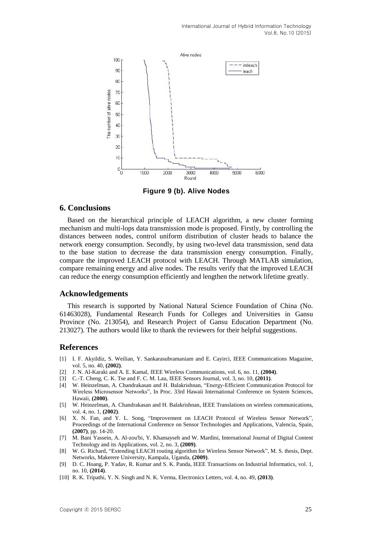

**Figure 9 (b). Alive Nodes**

## **6. Conclusions**

Based on the hierarchical principle of LEACH algorithm, a new cluster forming mechanism and multi-lops data transmission mode is proposed. Firstly, by controlling the distances between nodes, control uniform distribution of cluster heads to balance the network energy consumption. Secondly, by using two-level data transmission, send data to the base station to decrease the data transmission energy consumption. Finally, compare the improved LEACH protocol with LEACH. Through MATLAB simulation, compare remaining energy and alive nodes. The results verify that the improved LEACH can reduce the energy consumption efficiently and lengthen the network lifetime greatly.

### **Acknowledgements**

This research is supported by National Natural Science Foundation of China (No. 61463028), Fundamental Research Funds for Colleges and Universities in Gansu Province (No. 213054), and Research Project of Gansu Education Department (No. 213027). The authors would like to thank the reviewers for their helpful suggestions.

## **References**

- [1] I. F. Akyildiz, S. Weilian, Y. Sankarasubramaniam and E. Cayirci, IEEE Communications Magazine, vol. 5, no. 40, **(2002)**.
- [2] J. N. Al-Karaki and A. E. Kamal, IEEE Wireless Communications, vol. 6, no. 11, **(2004)**.
- [3] C.-T. Cheng, C. K. Tse and F. C. M. Lau, IEEE Sensors Journal, vol. 3, no. 10, **(2011)**.
- [4] W. Heinzelman, A. Chandrakasan and H. Balakrishnan, "Energy-Efficient Communication Protocol for Wireless Microsensor Networks", In Proc. 33rd Hawaii International Conference on System Sciences, Hawaii, **(2000)**.
- [5] W. Heinzelman, A. Chandrakasan and H. Balakrishnan, IEEE Translations on wireless communications, vol. 4, no. 1, **(2002)**.
- [6] X. N. Fan, and Y. L. Song, "Improvement on LEACH Protocol of Wireless Sensor Network", Proceedings of the International Conference on Sensor Technologies and Applications, Valencia, Spain, **(2007)**, pp. 14-20.
- [7] M. Bani Yassein, A. Al-zou'bi, Y. Khamayseh and W. Mardini, International Journal of Digital Content Technology and its Applications, vol. 2, no. 3, **(2009)**.
- [8] W. G. Richard, "Extending LEACH routing algorithm for Wireless Sensor Network", M. S. thesis, Dept. Networks, Makerere University, Kampala, Uganda, **(2009)**.
- [9] D. C. Hoang, P. Yadav, R. Kumar and S. K. Panda, IEEE Transactions on Industrial Informatics, vol. 1, no. 10, **(2014)**.
- [10] R. K. Tripathi, Y. N. Singh and N. K. Verma, Electronics Letters, vol. 4, no. 49, **(2013)**.